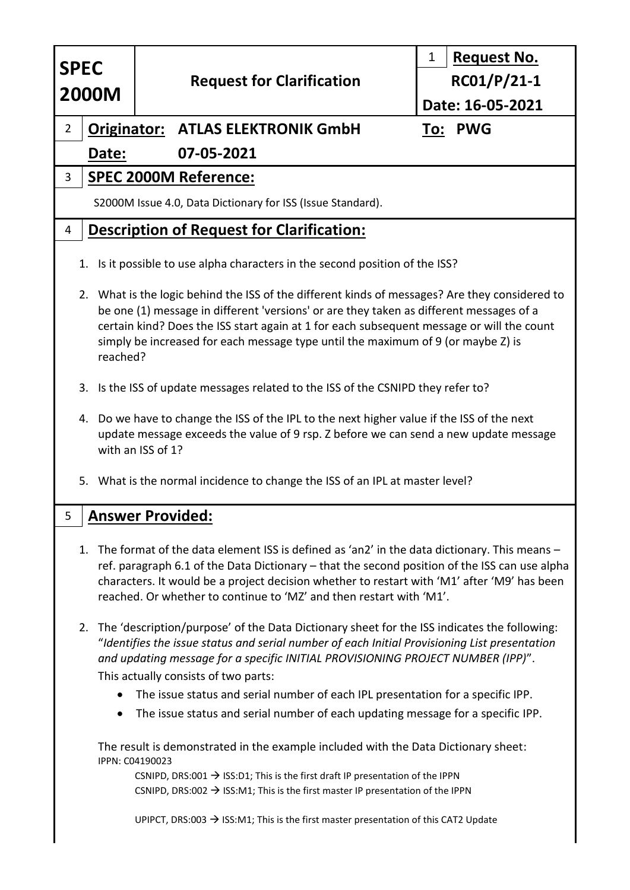| <b>SPEC</b>                                                                                                                                                                                                                                                                                                                                                                            |                                          | <b>Request No.</b><br>1 |
|----------------------------------------------------------------------------------------------------------------------------------------------------------------------------------------------------------------------------------------------------------------------------------------------------------------------------------------------------------------------------------------|------------------------------------------|-------------------------|
|                                                                                                                                                                                                                                                                                                                                                                                        | <b>Request for Clarification</b>         | $RC01/P/21-1$           |
| <b>2000M</b>                                                                                                                                                                                                                                                                                                                                                                           |                                          | Date: 16-05-2021        |
| $\overline{2}$                                                                                                                                                                                                                                                                                                                                                                         | <b>Originator: ATLAS ELEKTRONIK GmbH</b> | To: PWG                 |
| 07-05-2021<br>Date:                                                                                                                                                                                                                                                                                                                                                                    |                                          |                         |
| <b>SPEC 2000M Reference:</b><br>3                                                                                                                                                                                                                                                                                                                                                      |                                          |                         |
| S2000M Issue 4.0, Data Dictionary for ISS (Issue Standard).                                                                                                                                                                                                                                                                                                                            |                                          |                         |
| <b>Description of Request for Clarification:</b><br>4                                                                                                                                                                                                                                                                                                                                  |                                          |                         |
| 1. Is it possible to use alpha characters in the second position of the ISS?                                                                                                                                                                                                                                                                                                           |                                          |                         |
| 2. What is the logic behind the ISS of the different kinds of messages? Are they considered to<br>be one (1) message in different 'versions' or are they taken as different messages of a<br>certain kind? Does the ISS start again at 1 for each subsequent message or will the count<br>simply be increased for each message type until the maximum of 9 (or maybe Z) is<br>reached? |                                          |                         |
| 3. Is the ISS of update messages related to the ISS of the CSNIPD they refer to?                                                                                                                                                                                                                                                                                                       |                                          |                         |
| 4. Do we have to change the ISS of the IPL to the next higher value if the ISS of the next<br>update message exceeds the value of 9 rsp. Z before we can send a new update message<br>with an ISS of 1?                                                                                                                                                                                |                                          |                         |
| 5. What is the normal incidence to change the ISS of an IPL at master level?                                                                                                                                                                                                                                                                                                           |                                          |                         |
| 5<br><b>Answer Provided:</b>                                                                                                                                                                                                                                                                                                                                                           |                                          |                         |
| The format of the data element ISS is defined as 'an2' in the data dictionary. This means -<br>1.<br>ref. paragraph 6.1 of the Data Dictionary – that the second position of the ISS can use alpha<br>characters. It would be a project decision whether to restart with 'M1' after 'M9' has been<br>reached. Or whether to continue to 'MZ' and then restart with 'M1'.               |                                          |                         |
| 2. The 'description/purpose' of the Data Dictionary sheet for the ISS indicates the following:<br>"Identifies the issue status and serial number of each Initial Provisioning List presentation<br>and updating message for a specific INITIAL PROVISIONING PROJECT NUMBER (IPP)".<br>This actually consists of two parts:                                                             |                                          |                         |
| The issue status and serial number of each IPL presentation for a specific IPP.                                                                                                                                                                                                                                                                                                        |                                          |                         |
| The issue status and serial number of each updating message for a specific IPP.<br>$\bullet$                                                                                                                                                                                                                                                                                           |                                          |                         |
| The result is demonstrated in the example included with the Data Dictionary sheet:<br>IPPN: C04190023                                                                                                                                                                                                                                                                                  |                                          |                         |
| CSNIPD, DRS:001 $\rightarrow$ ISS:D1; This is the first draft IP presentation of the IPPN                                                                                                                                                                                                                                                                                              |                                          |                         |
| CSNIPD, DRS:002 $\rightarrow$ ISS:M1; This is the first master IP presentation of the IPPN                                                                                                                                                                                                                                                                                             |                                          |                         |
| UPIPCT, DRS:003 $\rightarrow$ ISS:M1; This is the first master presentation of this CAT2 Update                                                                                                                                                                                                                                                                                        |                                          |                         |